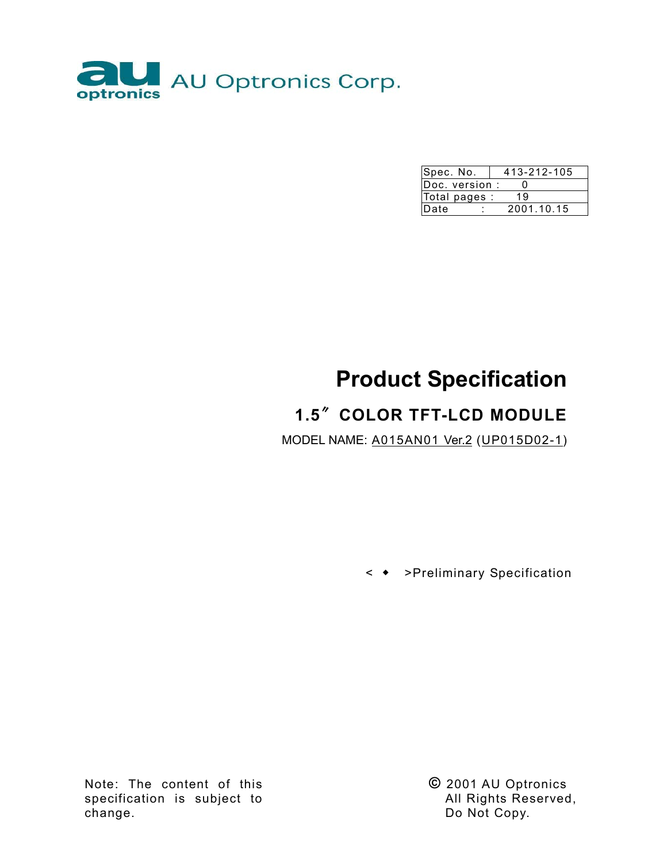

| Spec. No.      | 413-212-105 |            |  |  |
|----------------|-------------|------------|--|--|
| Doc. version : |             |            |  |  |
| Total pages :  |             | 19         |  |  |
| Date           |             | 2001.10.15 |  |  |

# **Product Specification**

# **1.5**ሉ**COLOR TFT-LCD MODULE**

MODEL NAME: A015AN01 Ver.2 (UP015D02-1)

< Ⴗ >Preliminary Specification

Note: The content of this specification is subject to change.

**©** 2001 AU Optronics All Rights Reserved, Do Not Copy.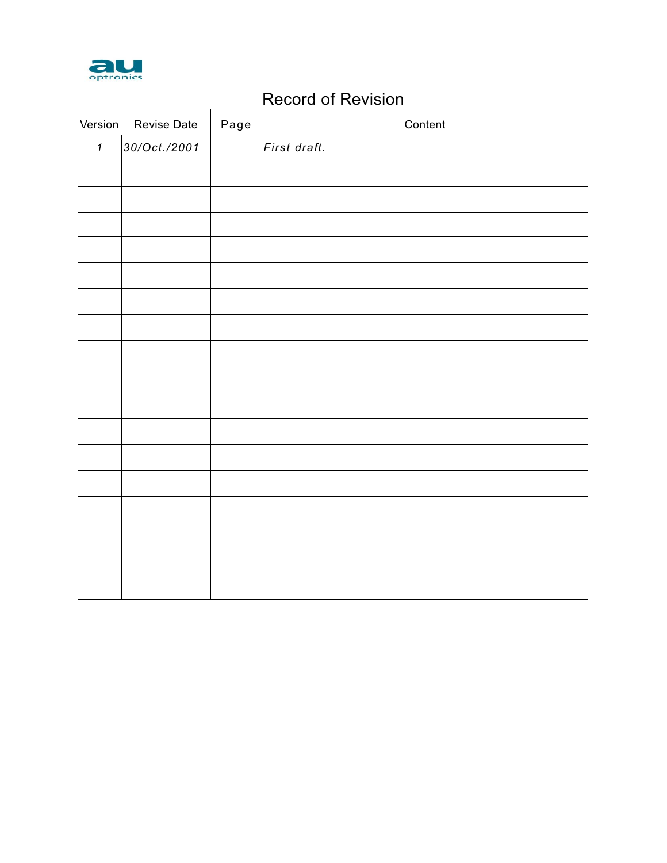

# Record of Revision

| Version      | Revise Date  | Page | Content      |
|--------------|--------------|------|--------------|
| $\mathbf{1}$ | 30/Oct./2001 |      | First draft. |
|              |              |      |              |
|              |              |      |              |
|              |              |      |              |
|              |              |      |              |
|              |              |      |              |
|              |              |      |              |
|              |              |      |              |
|              |              |      |              |
|              |              |      |              |
|              |              |      |              |
|              |              |      |              |
|              |              |      |              |
|              |              |      |              |
|              |              |      |              |
|              |              |      |              |
|              |              |      |              |
|              |              |      |              |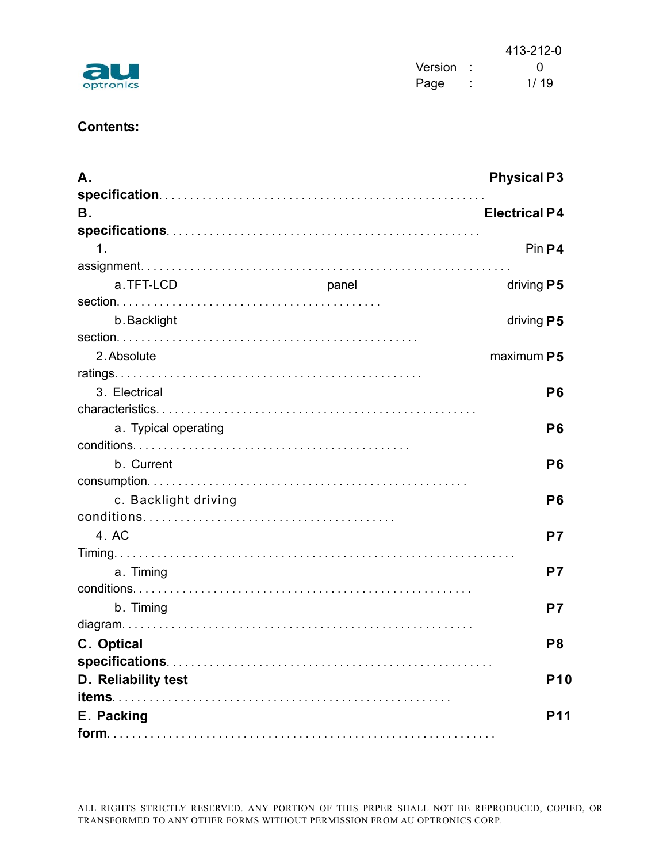|           |           |        | 413-212-0 |
|-----------|-----------|--------|-----------|
| au        | Version : |        |           |
| optronics | Page      | $\sim$ | 1/19      |



## **Contents:**

| Α.                   |       | <b>Physical P3</b>   |
|----------------------|-------|----------------------|
|                      |       |                      |
| В.                   |       | <b>Electrical P4</b> |
|                      |       |                      |
| $\mathbf 1$ .        |       | Pin P4               |
|                      |       |                      |
| a.TFT-LCD            | panel | driving $P5$         |
|                      |       |                      |
| b. Backlight         |       | driving $P5$         |
|                      |       |                      |
| 2. Absolute          |       | maximum P5           |
|                      |       |                      |
| 3. Electrical        |       | P <sub>6</sub>       |
|                      |       |                      |
| a. Typical operating |       | P <sub>6</sub>       |
|                      |       |                      |
| b. Current           |       | P <sub>6</sub>       |
|                      |       |                      |
| c. Backlight driving |       | P <sub>6</sub>       |
|                      |       |                      |
| 4. AC                |       | P7                   |
|                      |       |                      |
| a. Timing            |       | P7                   |
|                      |       |                      |
| b. Timing            |       | P7                   |
|                      |       |                      |
| C. Optical           |       | P <sub>8</sub>       |
|                      |       |                      |
| D. Reliability test  |       | <b>P10</b>           |
|                      |       |                      |
| E. Packing           |       | <b>P11</b>           |
|                      |       |                      |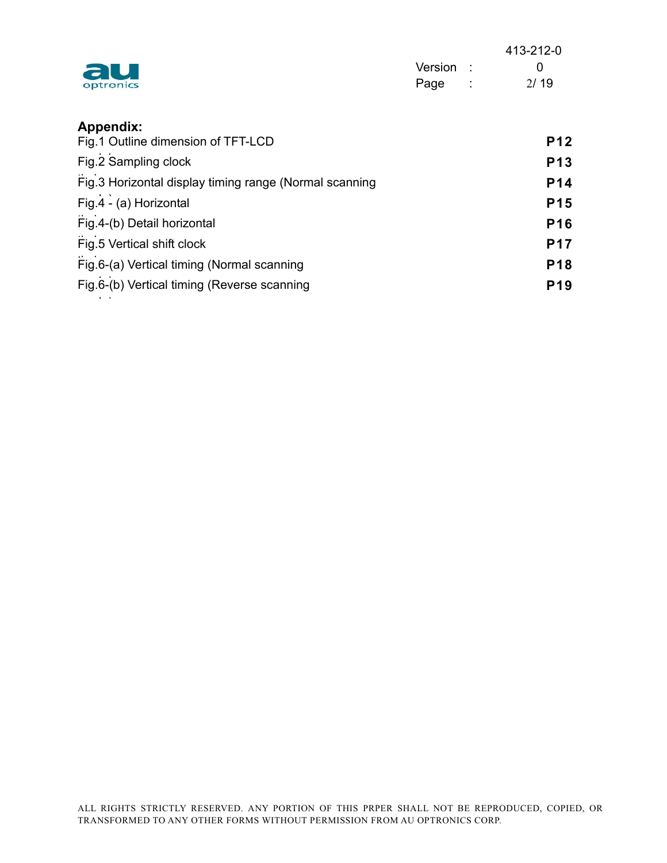| au<br>optronics  | Version :<br>Page<br>-11 | 413-212-0<br>0<br>2/19 |
|------------------|--------------------------|------------------------|
| <b>Appendix:</b> |                          |                        |

| Fig.1 Outline dimension of TFT-LCD                     | <b>P12</b>      |
|--------------------------------------------------------|-----------------|
| Fig.2 Sampling clock                                   | <b>P13</b>      |
| Fig.3 Horizontal display timing range (Normal scanning | P <sub>14</sub> |
| Fig.4 - (a) Horizontal                                 | <b>P15</b>      |
| Fig.4-(b) Detail horizontal                            | P <sub>16</sub> |
| Fig.5 Vertical shift clock                             | <b>P17</b>      |
| Fig.6-(a) Vertical timing (Normal scanning             | P <sub>18</sub> |
| Fig.6-(b) Vertical timing (Reverse scanning            | <b>P19</b>      |

d )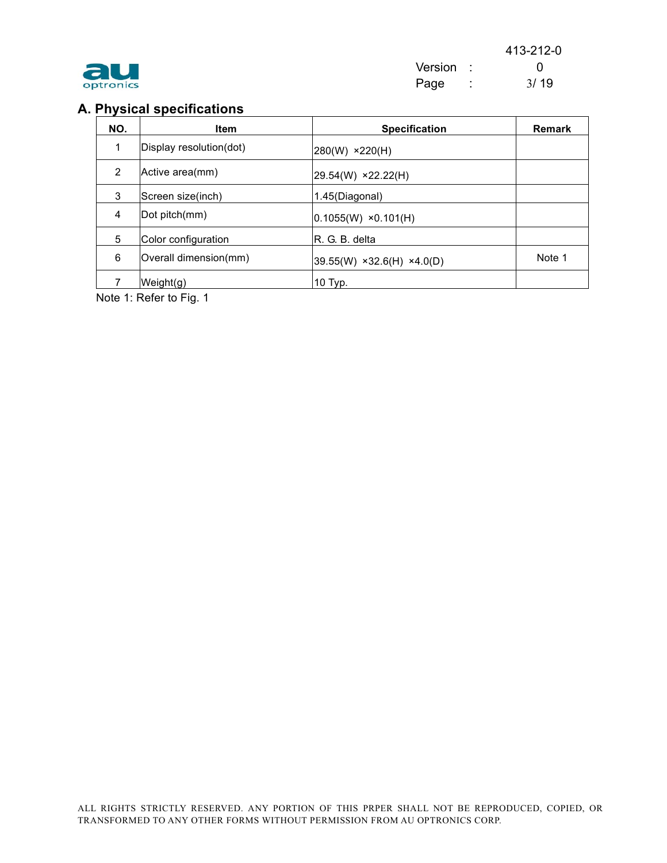| optronics |
|-----------|

## **A. Physical specifications**

| NO.            | <b>Item</b>             | <b>Specification</b>          | <b>Remark</b> |
|----------------|-------------------------|-------------------------------|---------------|
| 1              | Display resolution(dot) | 280(W) ×220(H)                |               |
| $\overline{2}$ | Active area(mm)         | 29.54(W) ×22.22(H)            |               |
| 3              | Screen size(inch)       | 1.45(Diagonal)                |               |
| 4              | Dot pitch(mm)           | $ 0.1055(W) \times 0.101(H) $ |               |
| 5              | Color configuration     | IR. G. B. delta               |               |
| 6              | Overall dimension(mm)   | $39.55(W)$ ×32.6(H) ×4.0(D)   | Note 1        |
|                | Weight(g)               | 10 Typ.                       |               |

Note 1: Refer to Fig. 1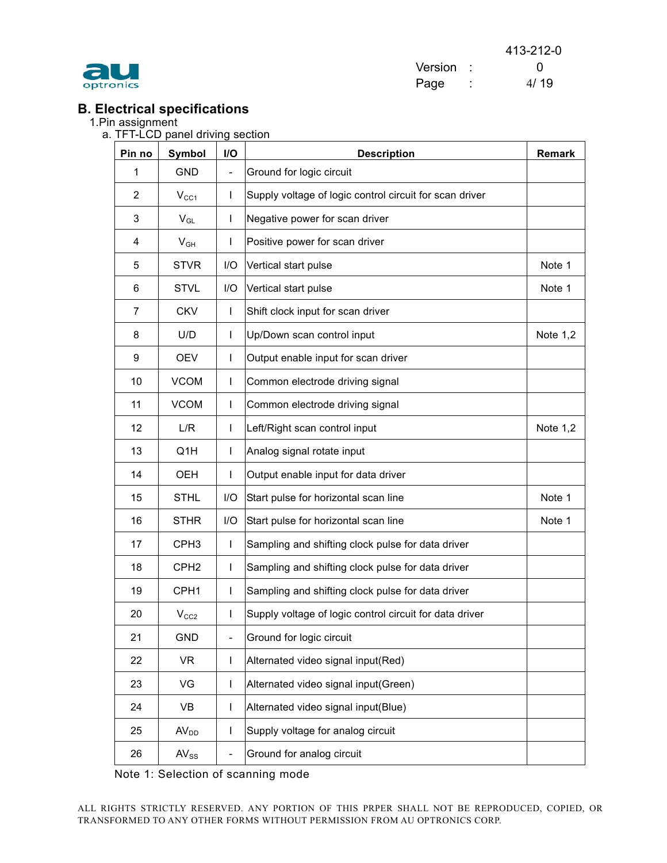

413-212-0 Version : 0 optronics and the page of the Page 1997 (1998) and 1998 (1998) and 1998 (1998) and 1998 (1998) and 1998 (1999)  $\frac{4}{19}$ 

# **B. Electrical specifications**

1.Pin assignment

a. TFT-LCD panel driving section

| Pin no | <b>Symbol</b>    | I/O                      | <b>Description</b>                                      | <b>Remark</b> |
|--------|------------------|--------------------------|---------------------------------------------------------|---------------|
| 1      | <b>GND</b>       | $\overline{\phantom{0}}$ | Ground for logic circuit                                |               |
| 2      | $V_{CC1}$        | L                        | Supply voltage of logic control circuit for scan driver |               |
| 3      | $V_{GL}$         | L                        | Negative power for scan driver                          |               |
| 4      | $V_{GH}$         | L                        | Positive power for scan driver                          |               |
| 5      | <b>STVR</b>      | I/O                      | Vertical start pulse                                    | Note 1        |
| 6      | <b>STVL</b>      | I/O                      | Vertical start pulse                                    | Note 1        |
| 7      | <b>CKV</b>       | $\mathbf{I}$             | Shift clock input for scan driver                       |               |
| 8      | U/D              | $\mathbf{I}$             | Up/Down scan control input                              | Note 1,2      |
| 9      | <b>OEV</b>       | L                        | Output enable input for scan driver                     |               |
| 10     | <b>VCOM</b>      | L                        | Common electrode driving signal                         |               |
| 11     | <b>VCOM</b>      | L                        | Common electrode driving signal                         |               |
| 12     | L/R              | L                        | Left/Right scan control input                           | Note $1,2$    |
| 13     | Q1H              | L                        | Analog signal rotate input                              |               |
| 14     | <b>OEH</b>       | L                        | Output enable input for data driver                     |               |
| 15     | <b>STHL</b>      | I/O                      | Start pulse for horizontal scan line                    | Note 1        |
| 16     | <b>STHR</b>      | I/O                      | Start pulse for horizontal scan line                    | Note 1        |
| 17     | CPH <sub>3</sub> | $\mathbf{I}$             | Sampling and shifting clock pulse for data driver       |               |
| 18     | CPH <sub>2</sub> | $\mathbf{I}$             | Sampling and shifting clock pulse for data driver       |               |
| 19     | CPH <sub>1</sub> | L                        | Sampling and shifting clock pulse for data driver       |               |
| 20     | $V_{CC2}$        | L                        | Supply voltage of logic control circuit for data driver |               |
| 21     | <b>GND</b>       | -                        | Ground for logic circuit                                |               |
| 22     | <b>VR</b>        | L                        | Alternated video signal input(Red)                      |               |
| 23     | VG               | L                        | Alternated video signal input(Green)                    |               |
| 24     | VB               | L                        | Alternated video signal input(Blue)                     |               |
| 25     | AV <sub>DD</sub> | L                        | Supply voltage for analog circuit                       |               |
| 26     | $AV_{SS}$        | $\overline{\phantom{0}}$ | Ground for analog circuit                               |               |

Note 1: Selection of scanning mode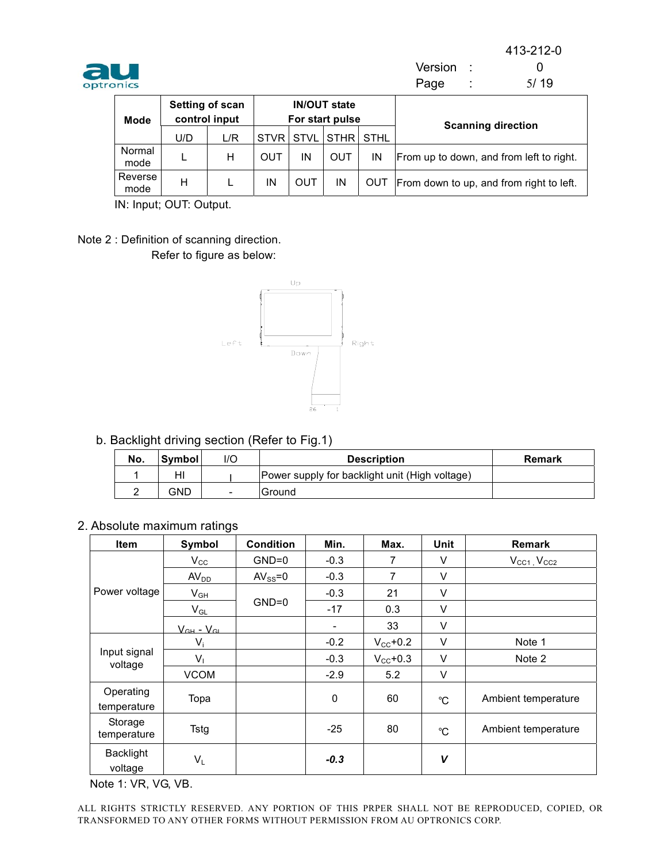



Version : 0 optronics and the contract of the Page  $\sim$  5/19

| <b>Mode</b>     | Setting of scan<br>control input |     | <b>IN/OUT state</b><br>For start pulse |     |           |    | <b>Scanning direction</b>                    |  |
|-----------------|----------------------------------|-----|----------------------------------------|-----|-----------|----|----------------------------------------------|--|
|                 | U/D                              | L/R | <b>STVR STVL</b>                       |     | STHR STHL |    |                                              |  |
| Normal<br>mode  |                                  | Н   | OUT                                    | ΙN  | OUT       | IN | From up to down, and from left to right.     |  |
| Reverse<br>mode | Н                                |     | ΙN                                     | OUT | ΙN        |    | OUT From down to up, and from right to left. |  |

IN: Input; OUT: Output.

Note 2 : Definition of scanning direction. Refer to figure as below:



b. Backlight driving section (Refer to Fig.1)

| No. | ∣Svmbol l | l/C | <b>Description</b>                             | Remark |
|-----|-----------|-----|------------------------------------------------|--------|
|     | н         |     | Power supply for backlight unit (High voltage) |        |
|     | GND       | -   | Ground                                         |        |

2. Absolute maximum ratings

| Item                     | Symbol                                                                    | <b>Condition</b> | Min.   | Max.                 | Unit        | <b>Remark</b>         |
|--------------------------|---------------------------------------------------------------------------|------------------|--------|----------------------|-------------|-----------------------|
|                          | $V_{\rm CC}$                                                              | $GND=0$          | $-0.3$ | 7                    | V           | $V_{CG1}$ , $V_{CC2}$ |
|                          | AV <sub>DD</sub>                                                          | $AV_{SS} = 0$    | $-0.3$ | 7                    | V           |                       |
| Power voltage            | $\mathsf{V}_{\mathsf{GH}}$                                                |                  | $-0.3$ | 21                   | V           |                       |
|                          | $V_{GL}$                                                                  | $GND=0$          | $-17$  | 0.3                  | V           |                       |
|                          | $V_{\scriptscriptstyle{\text{CH}}}$ - $V_{\scriptscriptstyle{\text{CL}}}$ |                  | ۰      | 33                   | V           |                       |
|                          | $V_i$                                                                     |                  | $-0.2$ | $V_{\rm CC}$ +0.2    | $\vee$      | Note 1                |
| Input signal<br>voltage  | $V_1$                                                                     |                  | $-0.3$ | $V_{\text{CC}}$ +0.3 | V           | Note 2                |
|                          | <b>VCOM</b>                                                               |                  | $-2.9$ | 5.2                  | V           |                       |
| Operating<br>temperature | Topa                                                                      |                  | 0      | 60                   | $^{\circ}C$ | Ambient temperature   |
| Storage<br>temperature   | Tstg                                                                      |                  | $-25$  | 80                   | $^{\circ}C$ | Ambient temperature   |
| Backlight<br>voltage     | $V_L$                                                                     |                  | $-0.3$ |                      | V           |                       |

Note 1: VR, VG, VB.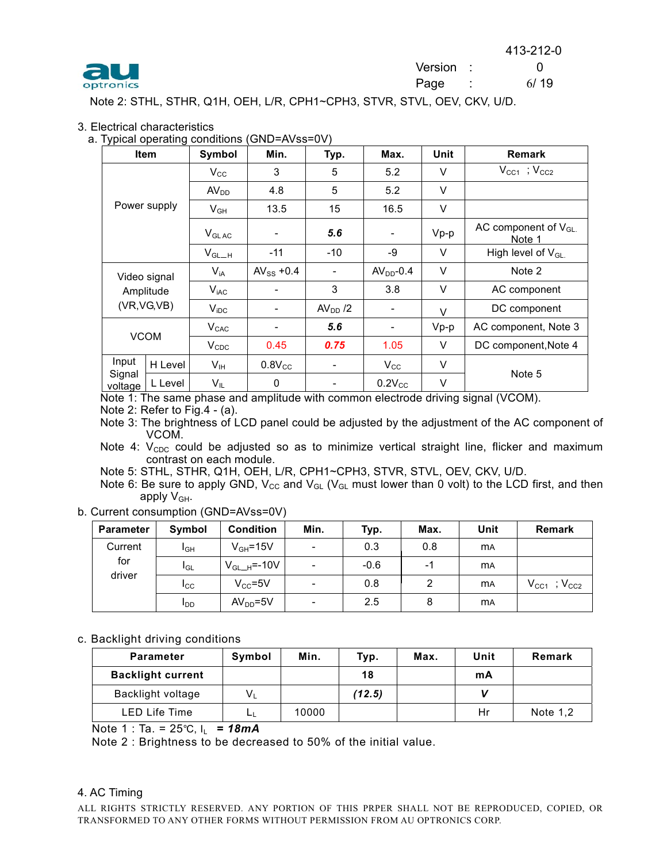



Note 2: STHL, STHR, Q1H, OEH, L/R, CPH1~CPH3, STVR, STVL, OEV, CKV, U/D.

#### 3. Electrical characteristics

a. Typical operating conditions (GND=AVss=0V)

|                   | <b>Item</b>  | Symbol           | Min.                     | Typ.      | Max.                     | Unit   | <b>Remark</b>                      |
|-------------------|--------------|------------------|--------------------------|-----------|--------------------------|--------|------------------------------------|
|                   |              | $V_{\rm CC}$     | 3                        | 5         | 5.2                      | V      | $V_{CC1}$ ; $V_{CC2}$              |
|                   |              | AV <sub>DD</sub> | 4.8                      | 5         | 5.2                      | V      |                                    |
|                   | Power supply | $V_{GH}$         | 13.5                     | 15        | 16.5                     | V      |                                    |
|                   |              | $V_{GLAC}$       |                          | 5.6       | $\overline{\phantom{a}}$ | $Vp-p$ | AC component of $V_{GL}$<br>Note 1 |
|                   |              |                  | $-11$                    | $-10$     | -9                       | V      | High level of $V_{GL}$             |
|                   | Video signal | $V_{iA}$         | AV <sub>SS</sub> +0.4    |           | $AVDD - 0.4$             | V      | Note 2                             |
|                   | Amplitude    | $V_{\text{iAC}}$ |                          | 3         | 3.8                      | V      | AC component                       |
|                   | (VR, VG, VB) | $V_{\text{IDC}}$ | -                        | $AVDD$ /2 | $\overline{\phantom{a}}$ | $\vee$ | DC component                       |
|                   |              | $V_{CAC}$        | $\overline{\phantom{a}}$ | 5.6       | $\overline{\phantom{a}}$ | $Vp-p$ | AC component, Note 3               |
| <b>VCOM</b>       |              | $V_{CDC}$        | 0.45                     | 0.75      | 1.05                     | V      | DC component, Note 4               |
| Input             | H Level      | $V_{\text{IH}}$  | $0.8V_{CC}$              |           | $V_{\rm CC}$             | V      |                                    |
| Signal<br>voltage | L Level      | $V_{IL}$         | 0                        |           | $0.2V_{CC}$              | V      | Note 5                             |

Note 1: The same phase and amplitude with common electrode driving signal (VCOM).

Note 2: Refer to Fig.4 - (a).

Note 3: The brightness of LCD panel could be adjusted by the adjustment of the AC component of VCOM.

Note 4:  $V_{\text{CDC}}$  could be adjusted so as to minimize vertical straight line, flicker and maximum contrast on each module.

Note 5: STHL, STHR, Q1H, OEH, L/R, CPH1~CPH3, STVR, STVL, OEV, CKV, U/D.

Note 6: Be sure to apply GND,  $V_{CC}$  and  $V_{GL}$  ( $V_{GL}$  must lower than 0 volt) to the LCD first, and then apply  $V_{GH}$ .

b. Current consumption (GND=AVss=0V)

| <b>Parameter</b> | Symbol                 | <b>Condition</b> | Min.                     | Typ.   | Max. | Unit      | <b>Remark</b>         |
|------------------|------------------------|------------------|--------------------------|--------|------|-----------|-----------------------|
| Current          | I <sub>GH</sub>        | $V_{GH} = 15V$   | -                        | 0.3    | 0.8  | <b>MA</b> |                       |
| for<br>driver    | <b>I</b> GL            | $V_{GL-H}$ =-10V | -                        | $-0.6$ | $-1$ | <b>MA</b> |                       |
|                  | $I_{\rm CC}$           | $V_{CC} = 5V$    | $\overline{\phantom{a}}$ | 0.8    | 2    | <b>MA</b> | $V_{CC1}$ ; $V_{CC2}$ |
|                  | <b>I</b> <sub>DD</sub> | $AVDD=5V$        | ٠                        | 2.5    | 8    | <b>MA</b> |                       |

#### c. Backlight driving conditions

| <b>Parameter</b>         | Symbol | Min.  | Typ.   | Max. | Unit | Remark     |
|--------------------------|--------|-------|--------|------|------|------------|
| <b>Backlight current</b> |        |       | 18     |      | mA   |            |
| Backlight voltage        | $V_L$  |       | (12.5) |      |      |            |
| LED Life Time            |        | 10000 |        |      | Hr   | Note $1,2$ |

Note 1 : Ta. =  $25^{\circ}$ C, I<sub>L</sub> = **18mA** 

Note 2 : Brightness to be decreased to 50% of the initial value.

#### 4. AC Timing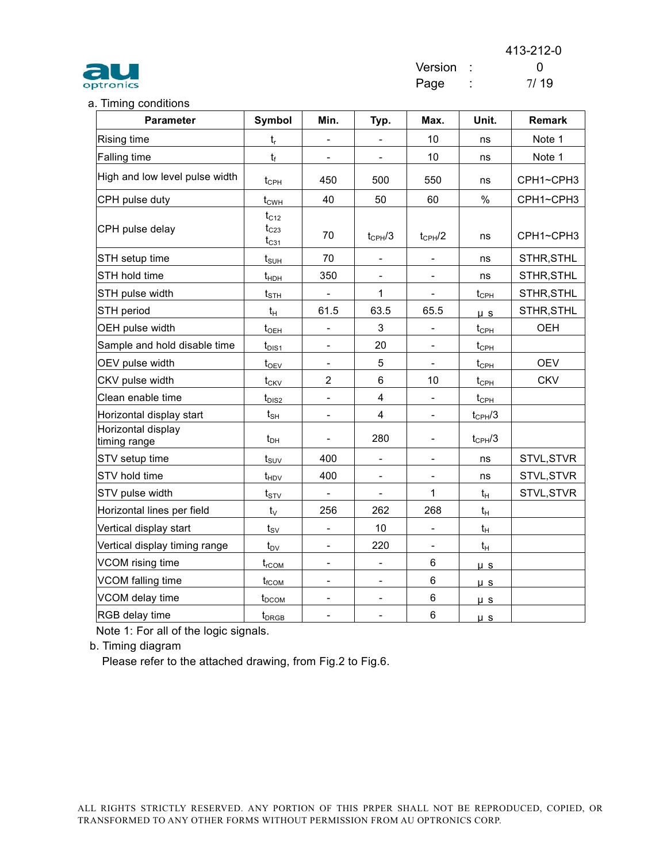

413-212-0 Version : 0

## a. Timing conditions

| <b>Parameter</b>                   | Symbol                                 | Min.                     | Typ.                     | Max.                     | Unit.                                  | <b>Remark</b> |
|------------------------------------|----------------------------------------|--------------------------|--------------------------|--------------------------|----------------------------------------|---------------|
| Rising time                        | $t_{r}$                                |                          |                          | 10                       | ns                                     | Note 1        |
| Falling time                       | $t_f$                                  | $\overline{\phantom{0}}$ | $\blacksquare$           | 10                       | ns                                     | Note 1        |
| High and low level pulse width     | $t_{\scriptscriptstyle{\mathrm{CPH}}}$ | 450                      | 500                      | 550                      | ns                                     | CPH1~CPH3     |
| CPH pulse duty                     | $t_{CWH}$                              | 40                       | 50                       | 60                       | $\%$                                   | CPH1~CPH3     |
| CPH pulse delay                    | $t_{C12}$<br>$t_{C23}$<br>$t_{C31}$    | 70                       | $t_{CPH}/3$              | $t_{CPH}$ /2             | ns                                     | CPH1~CPH3     |
| STH setup time                     | $t_{\text{SUH}}$                       | 70                       | $\overline{\phantom{a}}$ | $\qquad \qquad -$        | ns                                     | STHR, STHL    |
| STH hold time                      | $t_{HDH}$                              | 350                      | $\overline{\phantom{a}}$ |                          | ns                                     | STHR, STHL    |
| STH pulse width                    | $t_{\text{STH}}$                       | $\blacksquare$           | $\mathbf{1}$             | $\blacksquare$           | $t_{\text{CPH}}$                       | STHR, STHL    |
| STH period                         | $t_H$                                  | 61.5                     | 63.5                     | 65.5                     | $\mathsf{u}$ s                         | STHR, STHL    |
| OEH pulse width                    | $t_{OH}$                               |                          | 3                        |                          | $t_{\text{CPH}}$                       | <b>OEH</b>    |
| Sample and hold disable time       | $t_{\text{DIS1}}$                      |                          | 20                       |                          | $t_{\scriptscriptstyle CPH}$           |               |
| OEV pulse width                    | $t_{\rm OEV}$                          |                          | 5                        |                          | $t_{\scriptscriptstyle{\mathrm{CPH}}}$ | <b>OEV</b>    |
| CKV pulse width                    | $t_{CKV}$                              | $\overline{2}$           | 6                        | 10                       | $t_{\text{CPH}}$                       | <b>CKV</b>    |
| Clean enable time                  | $t_{\text{DIS2}}$                      | $\overline{\phantom{0}}$ | $\overline{\mathbf{4}}$  |                          | $t_{\text{CPH}}$                       |               |
| Horizontal display start           | $t_{\scriptscriptstyle{\text{SH}}}$    | $\overline{\phantom{0}}$ | $\overline{\mathbf{4}}$  | $\overline{\phantom{0}}$ | $t_{CPH}/3$                            |               |
| Horizontal display<br>timing range | $t_{DH}$                               |                          | 280                      |                          | $t_{CPH}/3$                            |               |
| STV setup time                     | $t_{\text{SUV}}$                       | 400                      |                          |                          | ns                                     | STVL, STVR    |
| STV hold time                      | $t_{HDV}$                              | 400                      |                          |                          | ns                                     | STVL, STVR    |
| STV pulse width                    | $t_{STV}$                              | $\frac{1}{2}$            |                          | 1                        | $t_H$                                  | STVL, STVR    |
| Horizontal lines per field         | $t_{\vee}$                             | 256                      | 262                      | 268                      | $t_H$                                  |               |
| Vertical display start             | $t_{\rm SV}$                           |                          | 10                       |                          | $t_H$                                  |               |
| Vertical display timing range      | $t_{\text{DV}}$                        | $\overline{\phantom{0}}$ | 220                      | $\overline{\phantom{a}}$ | $t_H$                                  |               |
| VCOM rising time                   | $t_{rCOM}$                             | $\overline{\phantom{0}}$ | $\overline{\phantom{a}}$ | 6                        | $\mu$ s                                |               |
| VCOM falling time                  | $t_{\text{fCOM}}$                      |                          | $\overline{\phantom{0}}$ | 6                        | $\mu$ s                                |               |
| VCOM delay time                    | $t_{DCOM}$                             |                          | $\overline{\phantom{a}}$ | 6                        | $\mu$ s                                |               |
| RGB delay time                     | t <sub>DRGB</sub>                      | $\overline{\phantom{a}}$ | $\overline{\phantom{a}}$ | 6                        | $\mu$ s                                |               |

Note 1: For all of the logic signals.

b. Timing diagram

Please refer to the attached drawing, from Fig.2 to Fig.6.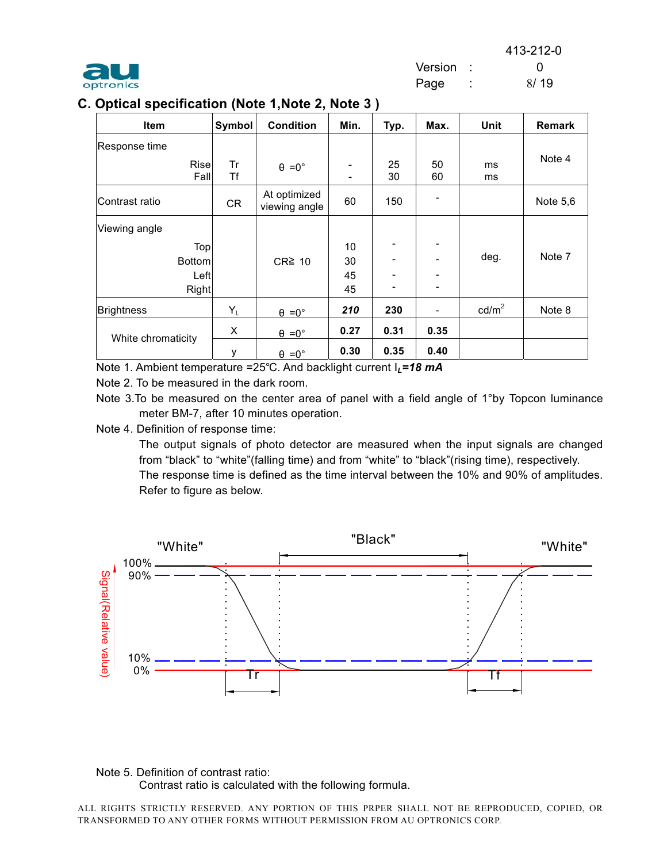413-212-0



 Version : 0 Page : 8/19

|  |  | C. Optical specification (Note 1,Note 2, Note 3 ) |  |  |  |  |  |
|--|--|---------------------------------------------------|--|--|--|--|--|
|--|--|---------------------------------------------------|--|--|--|--|--|

| <b>Item</b>        | Symbol   | <b>Condition</b>              | Min. | Typ.                     | Max.     | Unit            | Remark   |
|--------------------|----------|-------------------------------|------|--------------------------|----------|-----------------|----------|
| Response time      |          |                               |      |                          |          |                 |          |
| Rise<br>Fall       | Tr<br>Τf | $\theta = 0^{\circ}$          |      | 25<br>30                 | 50<br>60 | ms<br>ms        | Note 4   |
| Contrast ratio     | CR       | At optimized<br>viewing angle | 60   | 150                      |          |                 | Note 5,6 |
| Viewing angle      |          |                               |      |                          |          |                 |          |
| Top                |          |                               | 10   | $\overline{\phantom{0}}$ |          |                 |          |
| <b>Bottom</b>      |          | $CR \geq 10$                  | 30   |                          |          | deg.            | Note 7   |
| Left               |          |                               | 45   |                          |          |                 |          |
| Right              |          |                               | 45   | ۰                        |          |                 |          |
| <b>Brightness</b>  | $Y_L$    | $\theta = 0^{\circ}$          | 210  | 230                      |          | $\text{cd/m}^2$ | Note 8   |
| White chromaticity | X        | $\theta = 0^{\circ}$          | 0.27 | 0.31                     | 0.35     |                 |          |
|                    | у        | $\theta = 0^{\circ}$          | 0.30 | 0.35                     | 0.40     |                 |          |

Note 1. Ambient temperature =25°C. And backlight current I<sub>L</sub>=18 mA

Note 2. To be measured in the dark room.

Note 3. To be measured on the center area of panel with a field angle of 1°by Topcon luminance meter BM-7, after 10 minutes operation.

Note 4. Definition of response time:

The output signals of photo detector are measured when the input signals are changed from "black" to "white"(falling time) and from "white" to "black"(rising time), respectively. The response time is defined as the time interval between the 10% and 90% of amplitudes. Refer to figure as below.



Note 5. Definition of contrast ratio: Contrast ratio is calculated with the following formula.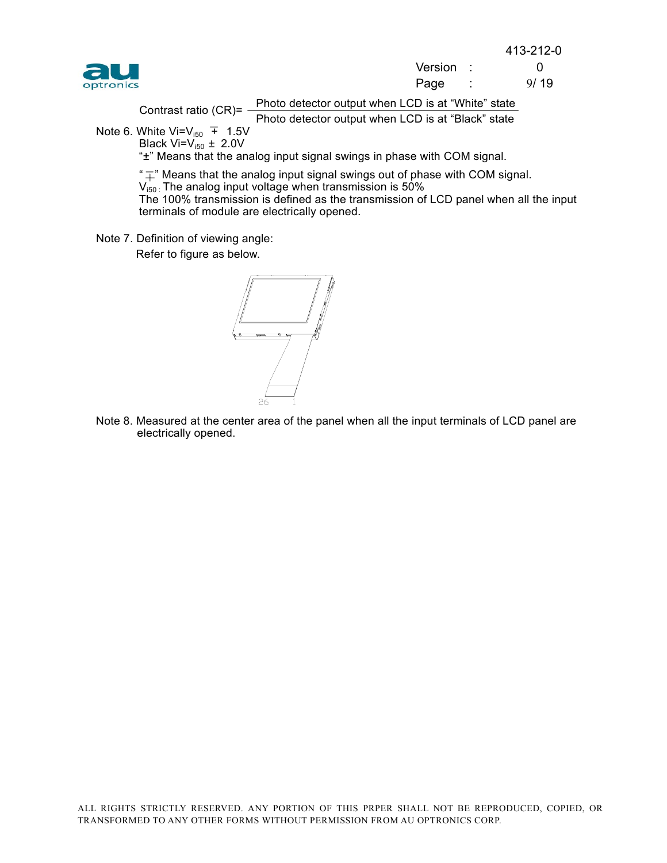413-212-0



| au        | Version |      |
|-----------|---------|------|
| optronics | Page    | 9/19 |

Photo detector output when LCD is at "White" state

 Photo detector output when LCD is at "Black" state Contrast ratio (CR)= -

Note 6. White Vi= $V_{i50}$  + 1.5V Black Vi= $V_{i50}$   $\pm$  2.0V

" $\pm$ " Means that the analog input signal swings in phase with COM signal.

" $\overline{+}$ " Means that the analog input signal swings out of phase with COM signal.

 $V_{150}$ : The analog input voltage when transmission is 50%

The 100% transmission is defined as the transmission of LCD panel when all the input terminals of module are electrically opened.

Note 7. Definition of viewing angle:

Refer to figure as below.



Note 8. Measured at the center area of the panel when all the input terminals of LCD panel are electrically opened.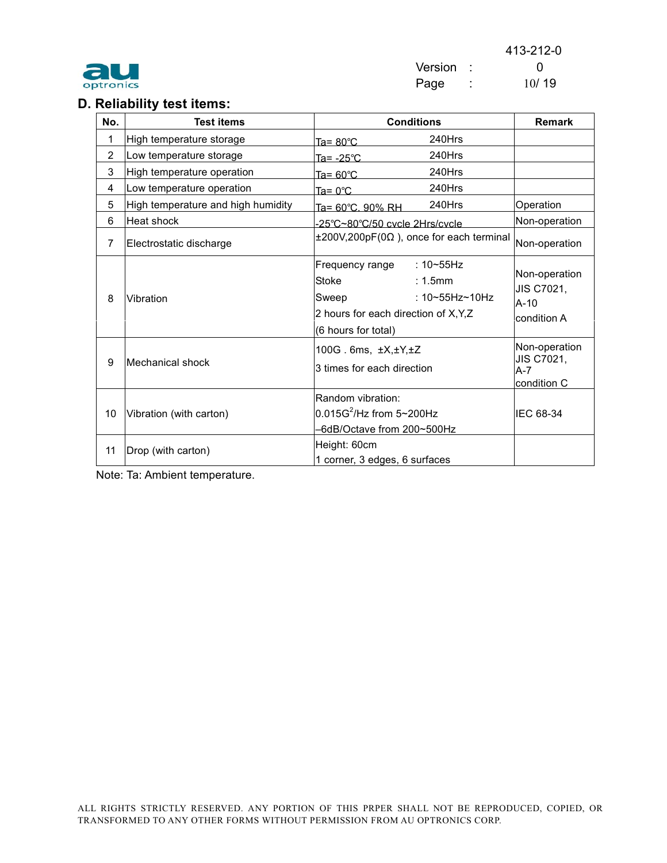

413-212-0 Version : 0 optronics Page : 10/19

# **D. Reliability test items:**

| No.            | <b>Test items</b>                  | <b>Conditions</b>                                                                                                                                            | <b>Remark</b>                                         |
|----------------|------------------------------------|--------------------------------------------------------------------------------------------------------------------------------------------------------------|-------------------------------------------------------|
| 1              | High temperature storage           | 240Hrs<br>$Ta = 80^{\circ}C$                                                                                                                                 |                                                       |
| $\overline{2}$ | Low temperature storage            | 240Hrs<br>Ta= -25°C                                                                                                                                          |                                                       |
| 3              | High temperature operation         | 240Hrs<br>$Ta = 60^{\circ}C$                                                                                                                                 |                                                       |
| 4              | Low temperature operation          | 240Hrs<br>Ta= $0^{\circ}$ C                                                                                                                                  |                                                       |
| 5              | High temperature and high humidity | 240Hrs<br>Ta= 60°C, 90% RH                                                                                                                                   | Operation                                             |
| 6              | Heat shock                         | -25°C~80°C/50 cvcle 2Hrs/cvcle                                                                                                                               | Non-operation                                         |
| $\overline{7}$ | Electrostatic discharge            | $±200V,200pF(0\Omega)$ , once for each terminal                                                                                                              | Non-operation                                         |
| 8              | Vibration                          | Frequency range<br>$: 10 - 55$ Hz<br>Stoke<br>$: 1.5$ mm<br>: $10 - 55$ Hz $-10$ Hz<br>Sweep<br>2 hours for each direction of X, Y, Z<br>(6 hours for total) | Non-operation<br>JIS C7021,<br>$A-10$<br>condition A  |
| 9              | Mechanical shock                   | 100G. 6ms, $\pm X, \pm Y, \pm Z$<br>3 times for each direction                                                                                               | Non-operation<br>JIS C7021,<br>$A - 7$<br>condition C |
| 10             | Vibration (with carton)            | Random vibration:<br>$0.015G^2$ /Hz from 5~200Hz<br>-6dB/Octave from 200~500Hz<br>Height: 60cm                                                               | IEC 68-34                                             |
| 11             | Drop (with carton)                 | 1 corner, 3 edges, 6 surfaces                                                                                                                                |                                                       |

Note: Ta: Ambient temperature.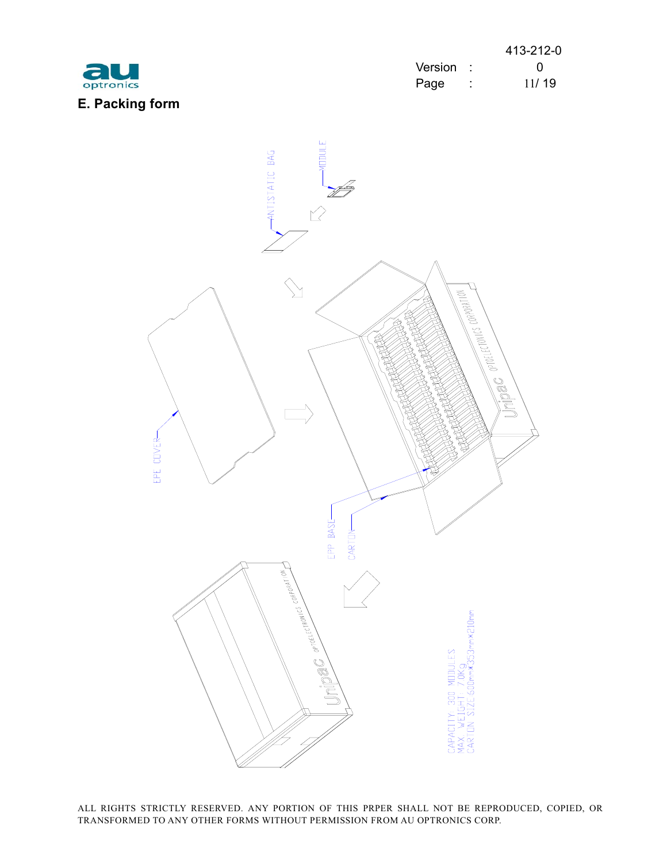

|           |           |         | 413-212-0 |
|-----------|-----------|---------|-----------|
| au        | Version : |         |           |
| optronics | Page      | $\cdot$ | 11/19     |

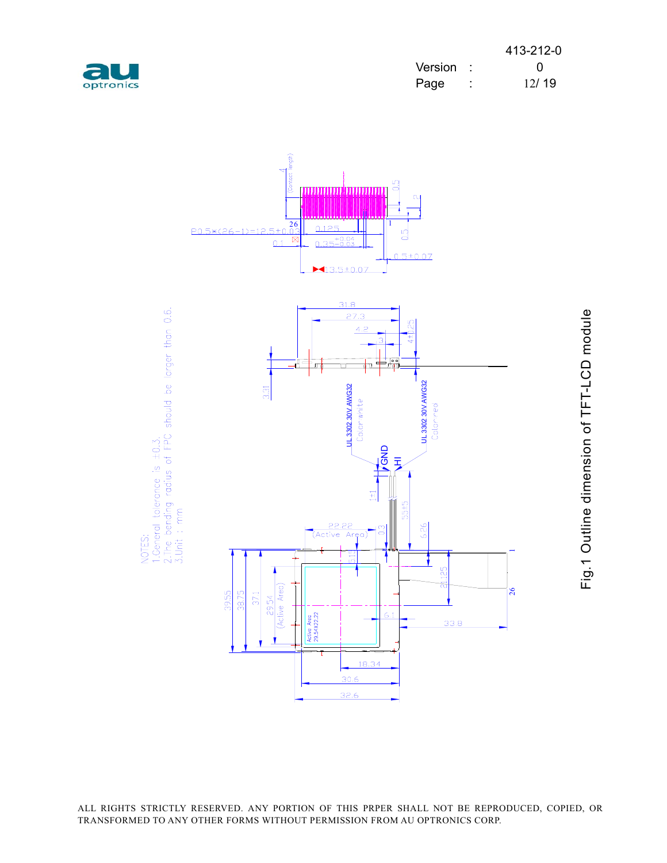| optronics |  |
|-----------|--|

|           |           |   | 413-212-0 |
|-----------|-----------|---|-----------|
| au        | Version : |   |           |
| optronics | Page      | ÷ | 12/19     |



Fig.1 Outline dimension of TFT-LCD module Fig.1 Outline dimension of TFT-LCD module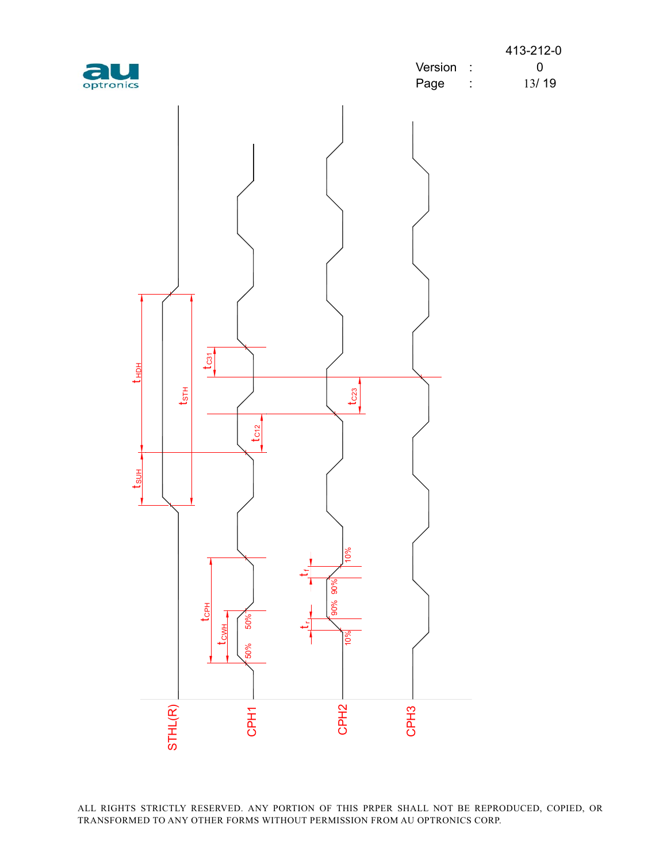|           |         | 413-212-0 |
|-----------|---------|-----------|
| au        | Version |           |
| optronics | Page    | 13/19     |

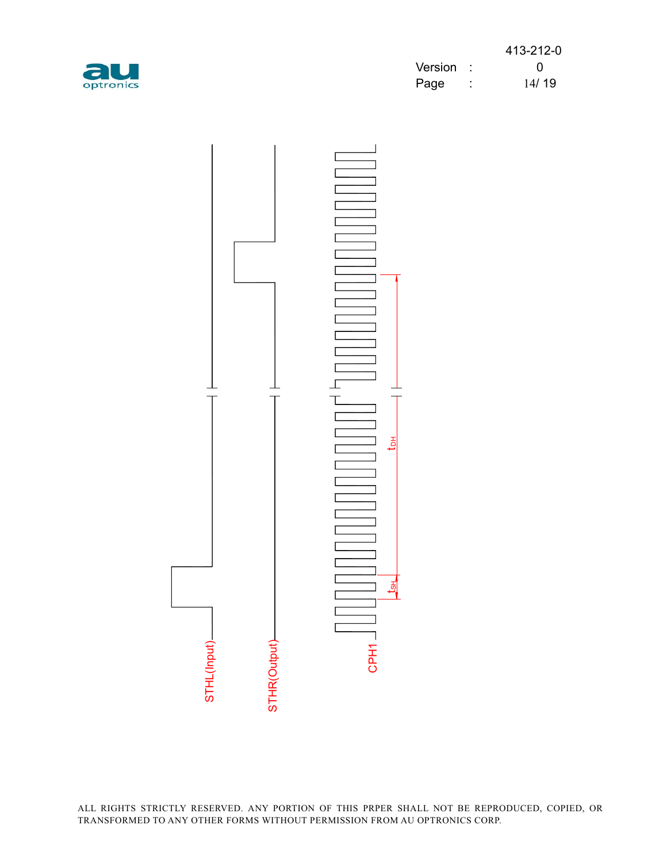

|           |           |         | 413-212-0 |
|-----------|-----------|---------|-----------|
| au        | Version : |         |           |
| optronics | Page      | $\cdot$ | 14/19     |

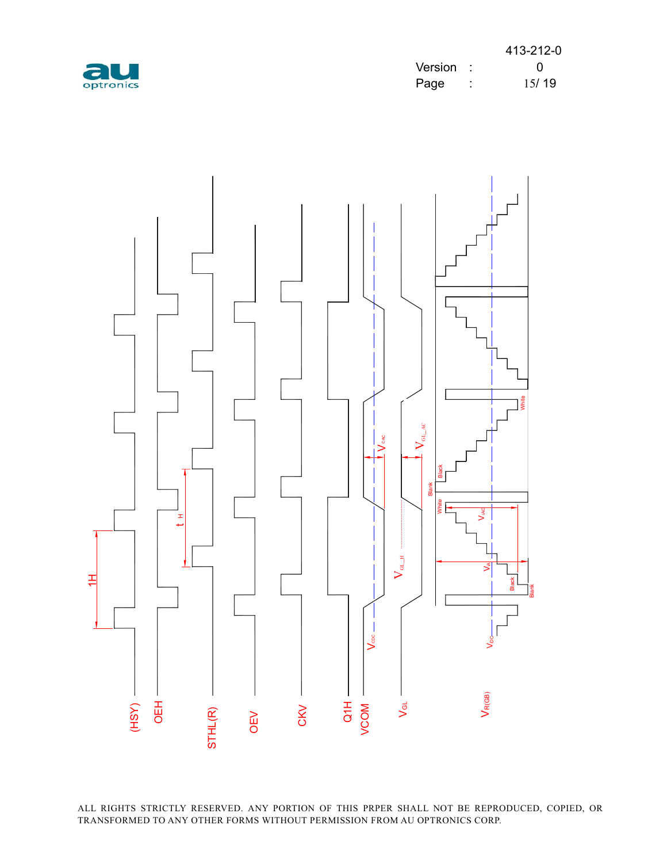

|           |           | 413-212-0 |
|-----------|-----------|-----------|
| au        | Version : |           |
| optronics | Page      | 15/19     |

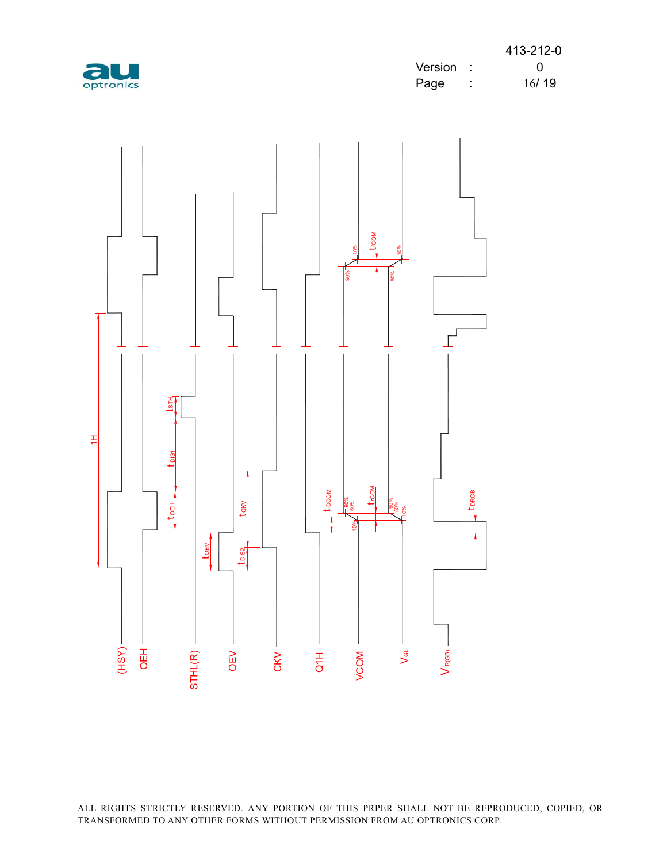

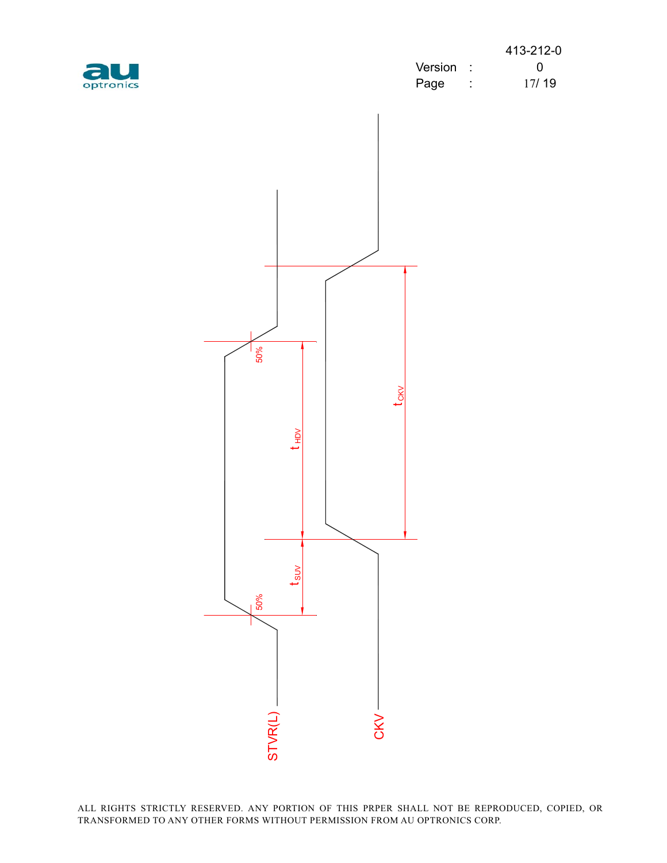

|           |         | 413-212-0 |
|-----------|---------|-----------|
| au        | Version |           |
| optronics | Page    | 17/19     |

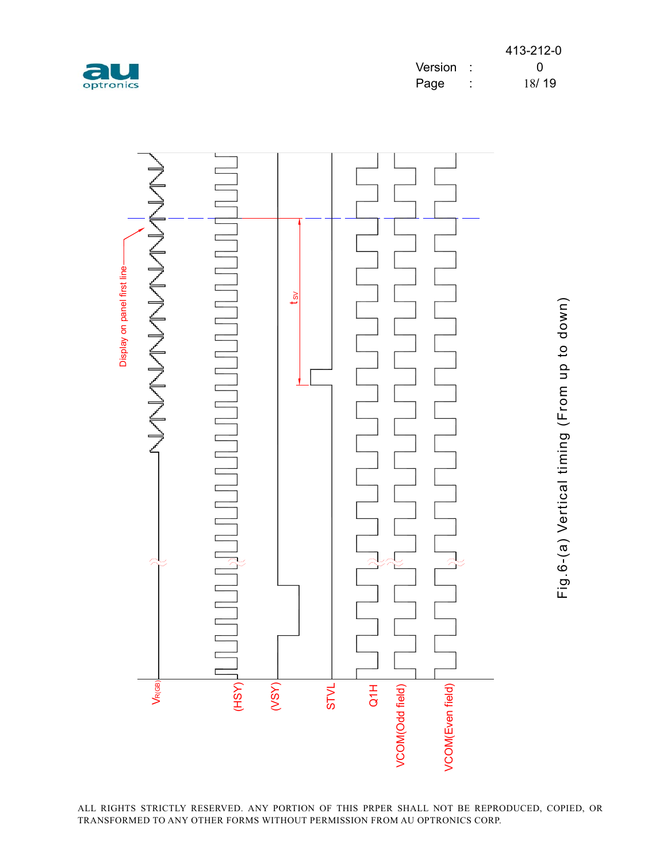